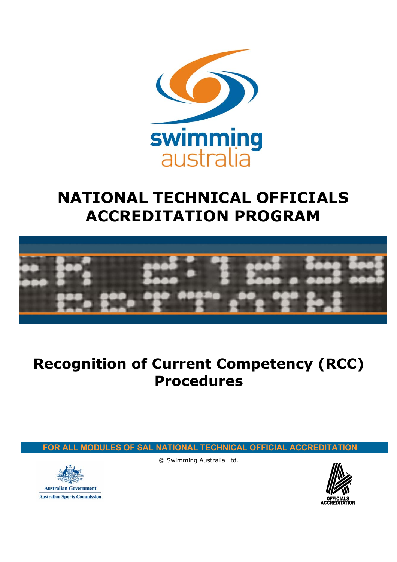

# **NATIONAL TECHNICAL OFFICIALS ACCREDITATION PROGRAM**



## **Recognition of Current Competency (RCC) Procedures**

 **FOR ALL MODULES OF SAL NATIONAL TECHNICAL OFFICIAL ACCREDITATION**



© Swimming Australia Ltd.

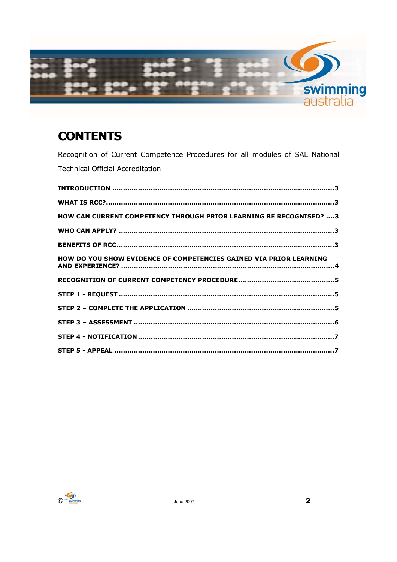

## **CONTENTS**

Recognition of Current Competence Procedures for all modules of SAL National **Technical Official Accreditation** 

| HOW CAN CURRENT COMPETENCY THROUGH PRIOR LEARNING BE RECOGNISED?  3 |  |
|---------------------------------------------------------------------|--|
|                                                                     |  |
|                                                                     |  |
| HOW DO YOU SHOW EVIDENCE OF COMPETENCIES GAINED VIA PRIOR LEARNING  |  |
|                                                                     |  |
|                                                                     |  |
|                                                                     |  |
|                                                                     |  |
|                                                                     |  |
|                                                                     |  |

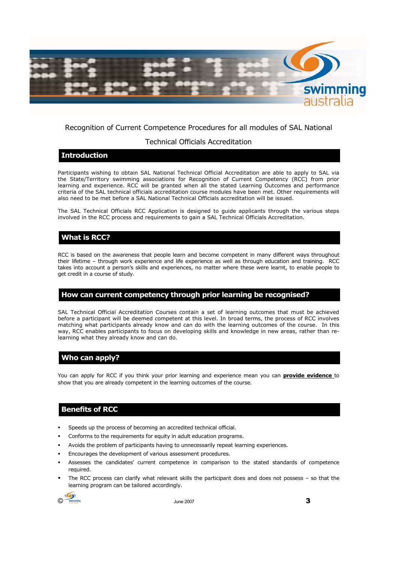

## Recognition of Current Competence Procedures for all modules of SAL National

#### Technical Officials Accreditation

#### **Introduction**

Participants wishing to obtain SAL National Technical Official Accreditation are able to apply to SAL via the State/Territory swimming associations for Recognition of Current Competency (RCC) from prior learning and experience. RCC will be granted when all the stated Learning Outcomes and performance criteria of the SAL technical officials accreditation course modules have been met. Other requirements will also need to be met before a SAL National Technical Officials accreditation will be issued.

The SAL Technical Officials RCC Application is designed to guide applicants through the various steps involved in the RCC process and requirements to gain a SAL Technical Officials Accreditation.

## **What is RCC?**

RCC is based on the awareness that people learn and become competent in many different ways throughout their lifetime – through work experience and life experience as well as through education and training. RCC takes into account a person's skills and experiences, no matter where these were learnt, to enable people to get credit in a course of study.

#### **How can current competency through prior learning be recognised?**

SAL Technical Official Accreditation Courses contain a set of learning outcomes that must be achieved before a participant will be deemed competent at this level. In broad terms, the process of RCC involves matching what participants already know and can do with the learning outcomes of the course. In this way, RCC enables participants to focus on developing skills and knowledge in new areas, rather than relearning what they already know and can do.

#### **Who can apply?**

You can apply for RCC if you think your prior learning and experience mean you can **provide evidence** to show that you are already competent in the learning outcomes of the course.

## **Benefits of RCC**

- Speeds up the process of becoming an accredited technical official.
- Conforms to the requirements for equity in adult education programs.
- Avoids the problem of participants having to unnecessarily repeat learning experiences.
- Encourages the development of various assessment procedures.
- Assesses the candidates' current competence in comparison to the stated standards of competence required.
- The RCC process can clarify what relevant skills the participant does and does not possess so that the learning program can be tailored accordingly.

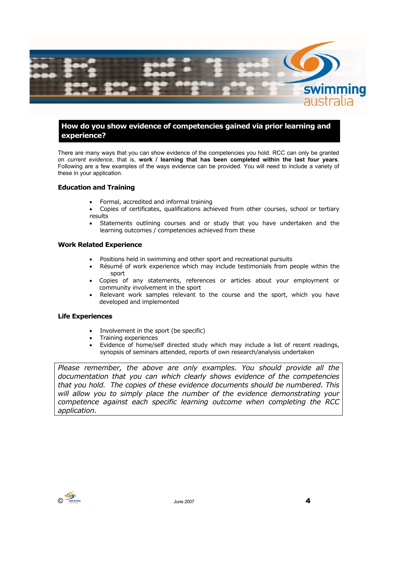

## **How do you show evidence of competencies gained via prior learning and experience?**

There are many ways that you can show evidence of the competencies you hold. RCC can only be granted on *current evidence*, that is, **work / learning that has been completed within the last four years**. Following are a few examples of the ways evidence can be provided. You will need to include a variety of these in your application.

#### **Education and Training**

- Formal, accredited and informal training
- Copies of certificates, qualifications achieved from other courses, school or tertiary results
- Statements outlining courses and or study that you have undertaken and the learning outcomes / competencies achieved from these

#### **Work Related Experience**

- Positions held in swimming and other sport and recreational pursuits
- Résumé of work experience which may include testimonials from people within the sport
- Copies of any statements, references or articles about your employment or community involvement in the sport
- Relevant work samples relevant to the course and the sport, which you have developed and implemented

#### **Life Experiences**

- Involvement in the sport (be specific)
- Training experiences
- Evidence of home/self directed study which may include a list of recent readings, synopsis of seminars attended, reports of own research/analysis undertaken

*Please remember, the above are only examples. You should provide all the documentation that you can which clearly shows evidence of the competencies that you hold. The copies of these evidence documents should be numbered. This will allow you to simply place the number of the evidence demonstrating your competence against each specific learning outcome when completing the RCC application.* 

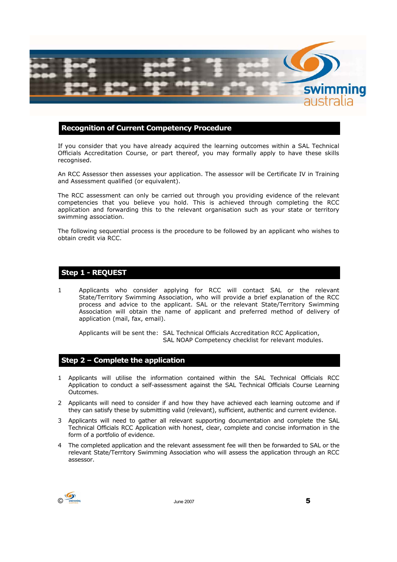

#### **Recognition of Current Competency Procedure**

If you consider that you have already acquired the learning outcomes within a SAL Technical Officials Accreditation Course, or part thereof, you may formally apply to have these skills recognised.

An RCC Assessor then assesses your application. The assessor will be Certificate IV in Training and Assessment qualified (or equivalent).

The RCC assessment can only be carried out through you providing evidence of the relevant competencies that you believe you hold. This is achieved through completing the RCC application and forwarding this to the relevant organisation such as your state or territory swimming association.

The following sequential process is the procedure to be followed by an applicant who wishes to obtain credit via RCC.

## **Step 1 - REQUEST**

1 Applicants who consider applying for RCC will contact SAL or the relevant State/Territory Swimming Association, who will provide a brief explanation of the RCC process and advice to the applicant. SAL or the relevant State/Territory Swimming Association will obtain the name of applicant and preferred method of delivery of application (mail, fax, email).

Applicants will be sent the: SAL Technical Officials Accreditation RCC Application, SAL NOAP Competency checklist for relevant modules.

#### **Step 2 – Complete the application**

- 1 Applicants will utilise the information contained within the SAL Technical Officials RCC Application to conduct a self-assessment against the SAL Technical Officials Course Learning Outcomes.
- 2 Applicants will need to consider if and how they have achieved each learning outcome and if they can satisfy these by submitting valid (relevant), sufficient, authentic and current evidence.
- 3 Applicants will need to gather all relevant supporting documentation and complete the SAL Technical Officials RCC Application with honest, clear, complete and concise information in the form of a portfolio of evidence.
- 4 The completed application and the relevant assessment fee will then be forwarded to SAL or the relevant State/Territory Swimming Association who will assess the application through an RCC assessor.

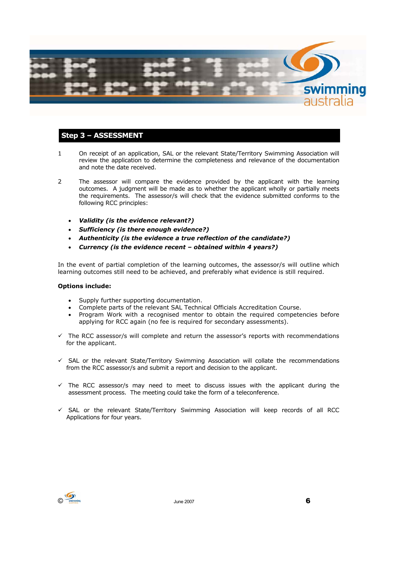

## **Step 3 – ASSESSMENT**

- 1 On receipt of an application, SAL or the relevant State/Territory Swimming Association will review the application to determine the completeness and relevance of the documentation and note the date received.
- 2 The assessor will compare the evidence provided by the applicant with the learning outcomes. A judgment will be made as to whether the applicant wholly or partially meets the requirements. The assessor/s will check that the evidence submitted conforms to the following RCC principles:
	- *Validity (is the evidence relevant?)*
	- *Sufficiency (is there enough evidence?)*
	- *Authenticity (is the evidence a true reflection of the candidate?)*
	- *Currency (is the evidence recent obtained within 4 years?)*

In the event of partial completion of the learning outcomes, the assessor/s will outline which learning outcomes still need to be achieved, and preferably what evidence is still required.

#### **Options include:**

- Supply further supporting documentation.
- Complete parts of the relevant SAL Technical Officials Accreditation Course.
- Program Work with a recognised mentor to obtain the required competencies before applying for RCC again (no fee is required for secondary assessments).
- $\checkmark$  The RCC assessor/s will complete and return the assessor's reports with recommendations for the applicant.
- $\checkmark$  SAL or the relevant State/Territory Swimming Association will collate the recommendations from the RCC assessor/s and submit a report and decision to the applicant.
- $\checkmark$  The RCC assessor/s may need to meet to discuss issues with the applicant during the assessment process. The meeting could take the form of a teleconference.
- $\checkmark$  SAL or the relevant State/Territory Swimming Association will keep records of all RCC Applications for four years.